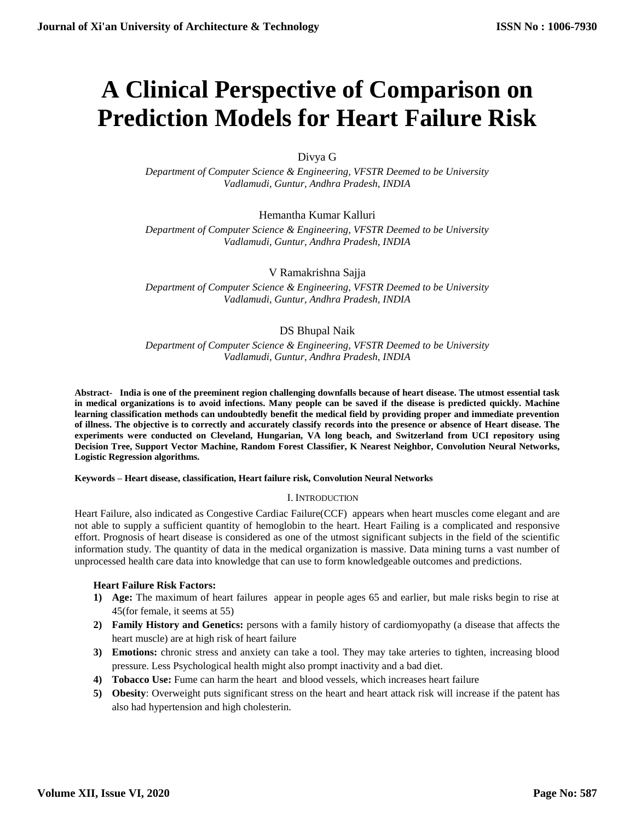# **A Clinical Perspective of Comparison on Prediction Models for Heart Failure Risk**

Divya G

*Department of Computer Science & Engineering, VFSTR Deemed to be University Vadlamudi, Guntur, Andhra Pradesh, INDIA*

Hemantha Kumar Kalluri

*Department of Computer Science & Engineering, VFSTR Deemed to be University Vadlamudi, Guntur, Andhra Pradesh, INDIA*

V Ramakrishna Sajja

*Department of Computer Science & Engineering, VFSTR Deemed to be University Vadlamudi, Guntur, Andhra Pradesh, INDIA*

# DS Bhupal Naik

*Department of Computer Science & Engineering, VFSTR Deemed to be University Vadlamudi, Guntur, Andhra Pradesh, INDIA*

**Abstract- India is one of the preeminent region challenging downfalls because of heart disease. The utmost essential task in medical organizations is to avoid infections. Many people can be saved if the disease is predicted quickly. Machine learning classification methods can undoubtedly benefit the medical field by providing proper and immediate prevention of illness. The objective is to correctly and accurately classify records into the presence or absence of Heart disease. The experiments were conducted on Cleveland, Hungarian, VA long beach, and Switzerland from UCI repository using Decision Tree, Support Vector Machine, Random Forest Classifier, K Nearest Neighbor, Convolution Neural Networks, Logistic Regression algorithms.**

**Keywords – Heart disease, classification, Heart failure risk, Convolution Neural Networks**

# I. INTRODUCTION

Heart Failure, also indicated as Congestive Cardiac Failure(CCF) appears when heart muscles come elegant and are not able to supply a sufficient quantity of hemoglobin to the heart. Heart Failing is a complicated and responsive effort. Prognosis of heart disease is considered as one of the utmost significant subjects in the field of the scientific information study. The quantity of data in the medical organization is massive. Data mining turns a vast number of unprocessed health care data into knowledge that can use to form knowledgeable outcomes and predictions.

# **Heart Failure Risk Factors:**

- **1) Age:** The maximum of heart failures appear in people ages 65 and earlier, but male risks begin to rise at 45(for female, it seems at 55)
- **2) Family History and Genetics:** persons with a family history of cardiomyopathy (a disease that affects the heart muscle) are at high risk of heart failure
- **3) Emotions:** chronic stress and anxiety can take a tool. They may take arteries to tighten, increasing blood pressure. Less Psychological health might also prompt inactivity and a bad diet.
- **4) Tobacco Use:** Fume can harm the heart and blood vessels, which increases heart failure
- **5) Obesity**: Overweight puts significant stress on the heart and heart attack risk will increase if the patent has also had hypertension and high cholesterin.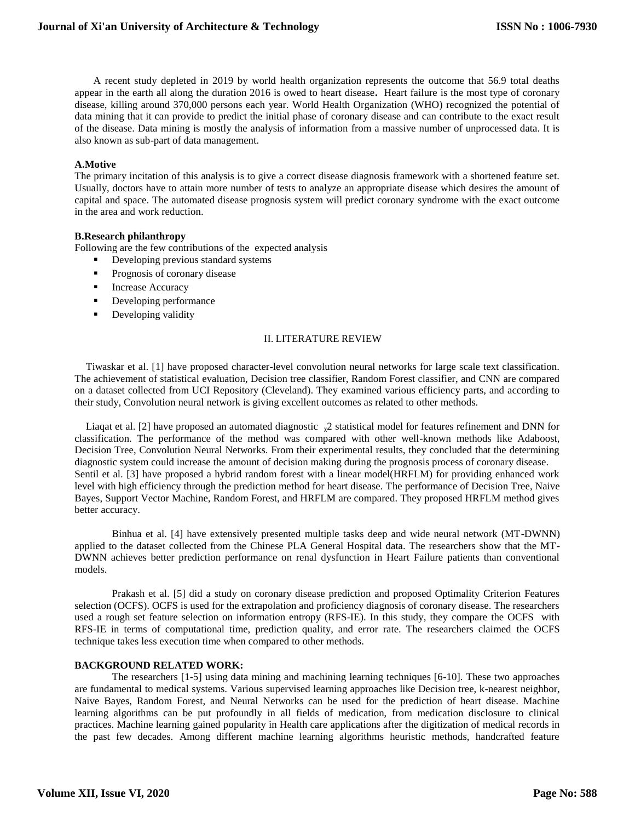A recent study depleted in 2019 by world health organization represents the outcome that 56.9 total deaths appear in the earth all along the duration 2016 is owed to heart disease**.** Heart failure is the most type of coronary disease, killing around 370,000 persons each year. World Health Organization (WHO) recognized the potential of data mining that it can provide to predict the initial phase of coronary disease and can contribute to the exact result of the disease. Data mining is mostly the analysis of information from a massive number of unprocessed data. It is also known as sub-part of data management.

#### **A.Motive**

The primary incitation of this analysis is to give a correct disease diagnosis framework with a shortened feature set. Usually, doctors have to attain more number of tests to analyze an appropriate disease which desires the amount of capital and space. The automated disease prognosis system will predict coronary syndrome with the exact outcome in the area and work reduction.

## **B.Research philanthropy**

Following are the few contributions of the expected analysis

- **Developing previous standard systems**
- **Prognosis of coronary disease**
- **Increase Accuracy**
- **•** Developing performance
- **Developing validity**

#### II. LITERATURE REVIEW

Tiwaskar et al. [1] have proposed character-level convolution neural networks for large scale text classification. The achievement of statistical evaluation, Decision tree classifier, Random Forest classifier, and CNN are compared on a dataset collected from UCI Repository (Cleveland). They examined various efficiency parts, and according to their study, Convolution neural network is giving excellent outcomes as related to other methods.

Liaqat et al. [2] have proposed an automated diagnostic  $\chi^2$  statistical model for features refinement and DNN for classification. The performance of the method was compared with other well-known methods like Adaboost, Decision Tree, Convolution Neural Networks. From their experimental results, they concluded that the determining diagnostic system could increase the amount of decision making during the prognosis process of coronary disease. Sentil et al. [3] have proposed a hybrid random forest with a linear model(HRFLM) for providing enhanced work level with high efficiency through the prediction method for heart disease. The performance of Decision Tree, Naive Bayes, Support Vector Machine, Random Forest, and HRFLM are compared. They proposed HRFLM method gives better accuracy.

Binhua et al. [4] have extensively presented multiple tasks deep and wide neural network (MT-DWNN) applied to the dataset collected from the Chinese PLA General Hospital data. The researchers show that the MT-DWNN achieves better prediction performance on renal dysfunction in Heart Failure patients than conventional models.

Prakash et al. [5] did a study on coronary disease prediction and proposed Optimality Criterion Features selection (OCFS). OCFS is used for the extrapolation and proficiency diagnosis of coronary disease. The researchers used a rough set feature selection on information entropy (RFS-IE). In this study, they compare the OCFS with RFS-IE in terms of computational time, prediction quality, and error rate. The researchers claimed the OCFS technique takes less execution time when compared to other methods.

### **BACKGROUND RELATED WORK:**

The researchers [1-5] using data mining and machining learning techniques [6-10]. These two approaches are fundamental to medical systems. Various supervised learning approaches like Decision tree, k-nearest neighbor, Naive Bayes, Random Forest, and Neural Networks can be used for the prediction of heart disease. Machine learning algorithms can be put profoundly in all fields of medication, from medication disclosure to clinical practices. Machine learning gained popularity in Health care applications after the digitization of medical records in the past few decades. Among different machine learning algorithms heuristic methods, handcrafted feature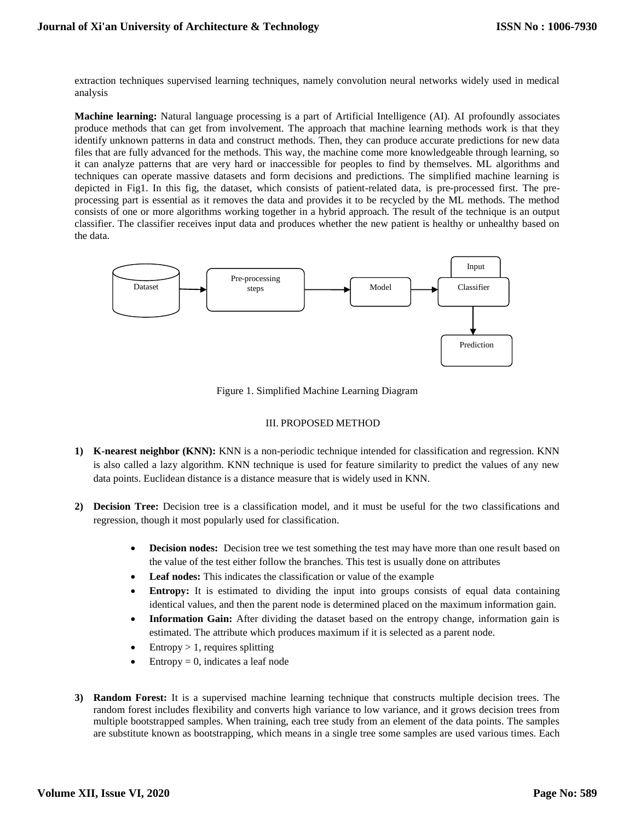extraction techniques supervised learning techniques, namely convolution neural networks widely used in medical analysis

**Machine learning:** Natural language processing is a part of Artificial Intelligence (AI). AI profoundly associates produce methods that can get from involvement. The approach that machine learning methods work is that they identify unknown patterns in data and construct methods. Then, they can produce accurate predictions for new data files that are fully advanced for the methods. This way, the machine come more knowledgeable through learning, so it can analyze patterns that are very hard or inaccessible for peoples to find by themselves. ML algorithms and techniques can operate massive datasets and form decisions and predictions. The simplified machine learning is depicted in Fig1. In this fig, the dataset, which consists of patient-related data, is pre-processed first. The preprocessing part is essential as it removes the data and provides it to be recycled by the ML methods. The method consists of one or more algorithms working together in a hybrid approach. The result of the technique is an output classifier. The classifier receives input data and produces whether the new patient is healthy or unhealthy based on the data.



Figure 1. Simplified Machine Learning Diagram

## III. PROPOSED METHOD

- **1) K-nearest neighbor (KNN):** KNN is a non-periodic technique intended for classification and regression. KNN is also called a lazy algorithm. KNN technique is used for feature similarity to predict the values of any new data points. Euclidean distance is a distance measure that is widely used in KNN.
- **2) Decision Tree:** Decision tree is a classification model, and it must be useful for the two classifications and regression, though it most popularly used for classification.
	- **Decision nodes:** Decision tree we test something the test may have more than one result based on the value of the test either follow the branches. This test is usually done on attributes
	- **Leaf nodes:** This indicates the classification or value of the example
	- **Entropy:** It is estimated to dividing the input into groups consists of equal data containing identical values, and then the parent node is determined placed on the maximum information gain.
	- **Information Gain:** After dividing the dataset based on the entropy change, information gain is estimated. The attribute which produces maximum if it is selected as a parent node.
	- $\bullet$  Entropy > 1, requires splitting
	- $\bullet$  Entropy = 0, indicates a leaf node
- **3) Random Forest:** It is a supervised machine learning technique that constructs multiple decision trees. The random forest includes flexibility and converts high variance to low variance, and it grows decision trees from multiple bootstrapped samples. When training, each tree study from an element of the data points. The samples are substitute known as bootstrapping, which means in a single tree some samples are used various times. Each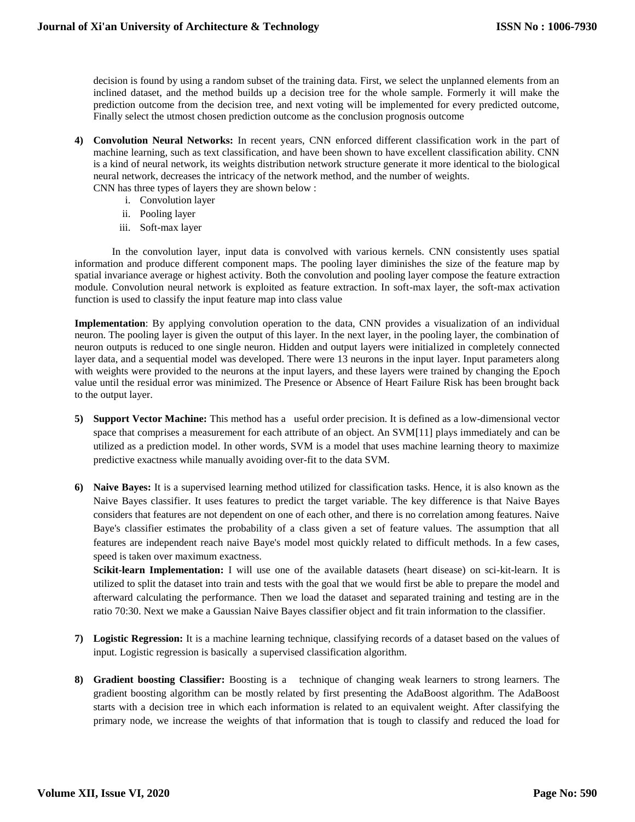decision is found by using a random subset of the training data. First, we select the unplanned elements from an inclined dataset, and the method builds up a decision tree for the whole sample. Formerly it will make the prediction outcome from the decision tree, and next voting will be implemented for every predicted outcome, Finally select the utmost chosen prediction outcome as the conclusion prognosis outcome

- **4) Convolution Neural Networks:** In recent years, CNN enforced different classification work in the part of machine learning, such as text classification, and have been shown to have excellent classification ability. CNN is a kind of neural network, its weights distribution network structure generate it more identical to the biological neural network, decreases the intricacy of the network method, and the number of weights.
	- CNN has three types of layers they are shown below :
		- i. Convolution layer
		- ii. Pooling layer
		- iii. Soft-max layer

In the convolution layer, input data is convolved with various kernels. CNN consistently uses spatial information and produce different component maps. The pooling layer diminishes the size of the feature map by spatial invariance average or highest activity. Both the convolution and pooling layer compose the feature extraction module. Convolution neural network is exploited as feature extraction. In soft-max layer, the soft-max activation function is used to classify the input feature map into class value

**Implementation**: By applying convolution operation to the data, CNN provides a visualization of an individual neuron. The pooling layer is given the output of this layer. In the next layer, in the pooling layer, the combination of neuron outputs is reduced to one single neuron. Hidden and output layers were initialized in completely connected layer data, and a sequential model was developed. There were 13 neurons in the input layer. Input parameters along with weights were provided to the neurons at the input layers, and these layers were trained by changing the Epoch value until the residual error was minimized. The Presence or Absence of Heart Failure Risk has been brought back to the output layer.

- **5) Support Vector Machine:** This method has a useful order precision. It is defined as a low-dimensional vector space that comprises a measurement for each attribute of an object. An SVM[11] plays immediately and can be utilized as a prediction model. In other words, SVM is a model that uses machine learning theory to maximize predictive exactness while manually avoiding over-fit to the data SVM.
- **6) Naive Bayes:** It is a supervised learning method utilized for classification tasks. Hence, it is also known as the Naive Bayes classifier. It uses features to predict the target variable. The key difference is that Naive Bayes considers that features are not dependent on one of each other, and there is no correlation among features. Naive Baye's classifier estimates the probability of a class given a set of feature values. The assumption that all features are independent reach naive Baye's model most quickly related to difficult methods. In a few cases, speed is taken over maximum exactness.

**Scikit-learn Implementation:** I will use one of the available datasets (heart disease) on sci-kit-learn. It is utilized to split the dataset into train and tests with the goal that we would first be able to prepare the model and afterward calculating the performance. Then we load the dataset and separated training and testing are in the ratio 70:30. Next we make a Gaussian Naive Bayes classifier object and fit train information to the classifier.

- **7) Logistic Regression:** It is a machine learning technique, classifying records of a dataset based on the values of input. Logistic regression is basically a supervised classification algorithm.
- **8) Gradient boosting Classifier:** Boosting is a technique of changing weak learners to strong learners. The gradient boosting algorithm can be mostly related by first presenting the AdaBoost algorithm. The AdaBoost starts with a decision tree in which each information is related to an equivalent weight. After classifying the primary node, we increase the weights of that information that is tough to classify and reduced the load for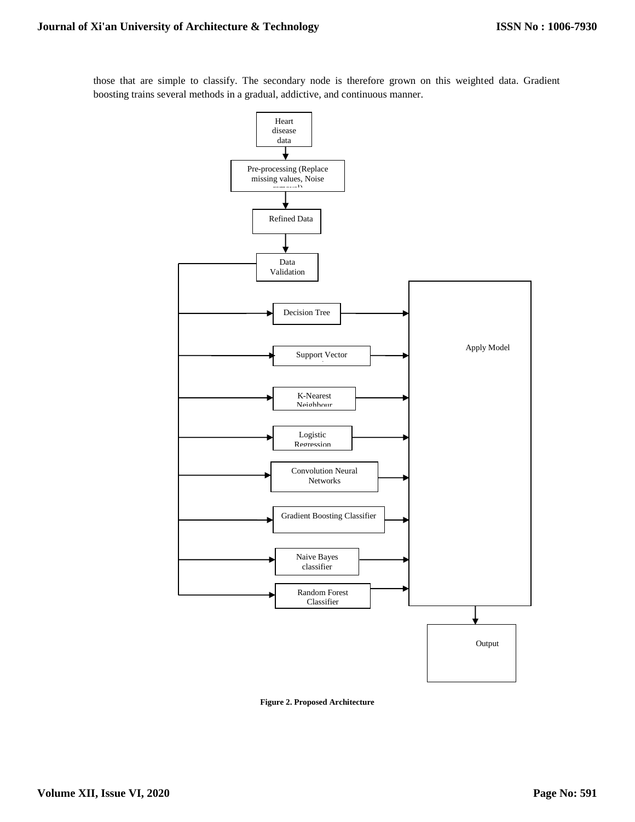those that are simple to classify. The secondary node is therefore grown on this weighted data. Gradient boosting trains several methods in a gradual, addictive, and continuous manner.



**Figure 2. Proposed Architecture**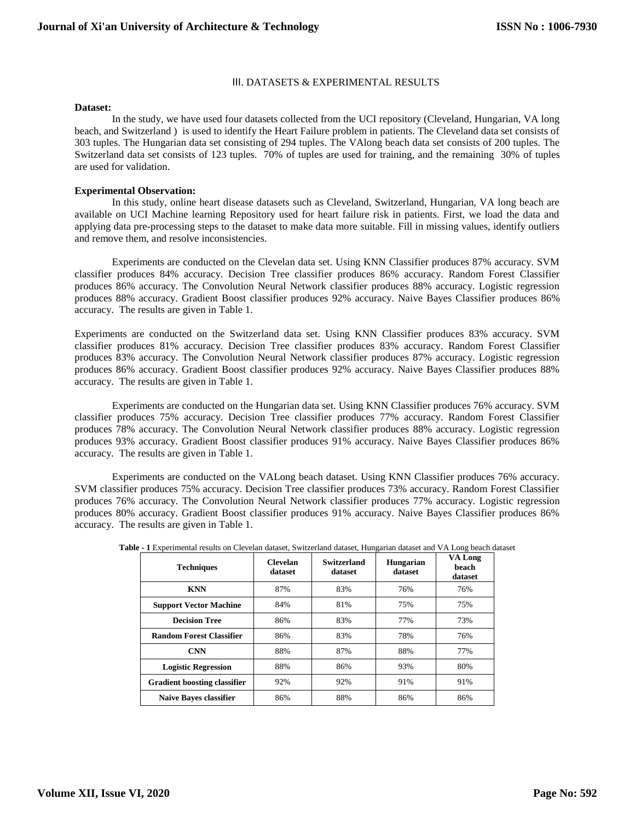#### III. DATASETS & EXPERIMENTAL RESULTS

#### **Dataset:**

In the study, we have used four datasets collected from the UCI repository (Cleveland, Hungarian, VA long beach, and Switzerland ) is used to identify the Heart Failure problem in patients. The Cleveland data set consists of 303 tuples. The Hungarian data set consisting of 294 tuples. The VAlong beach data set consists of 200 tuples. The Switzerland data set consists of 123 tuples. 70% of tuples are used for training, and the remaining 30% of tuples are used for validation.

#### **Experimental Observation:**

In this study, online heart disease datasets such as Cleveland, Switzerland, Hungarian, VA long beach are available on UCI Machine learning Repository used for heart failure risk in patients. First, we load the data and applying data pre-processing steps to the dataset to make data more suitable. Fill in missing values, identify outliers and remove them, and resolve inconsistencies.

Experiments are conducted on the Clevelan data set. Using KNN Classifier produces 87% accuracy. SVM classifier produces 84% accuracy. Decision Tree classifier produces 86% accuracy. Random Forest Classifier produces 86% accuracy. The Convolution Neural Network classifier produces 88% accuracy. Logistic regression produces 88% accuracy. Gradient Boost classifier produces 92% accuracy. Naive Bayes Classifier produces 86% accuracy. The results are given in Table 1.

Experiments are conducted on the Switzerland data set. Using KNN Classifier produces 83% accuracy. SVM classifier produces 81% accuracy. Decision Tree classifier produces 83% accuracy. Random Forest Classifier produces 83% accuracy. The Convolution Neural Network classifier produces 87% accuracy. Logistic regression produces 86% accuracy. Gradient Boost classifier produces 92% accuracy. Naive Bayes Classifier produces 88% accuracy. The results are given in Table 1.

Experiments are conducted on the Hungarian data set. Using KNN Classifier produces 76% accuracy. SVM classifier produces 75% accuracy. Decision Tree classifier produces 77% accuracy. Random Forest Classifier produces 78% accuracy. The Convolution Neural Network classifier produces 88% accuracy. Logistic regression produces 93% accuracy. Gradient Boost classifier produces 91% accuracy. Naive Bayes Classifier produces 86% accuracy. The results are given in Table 1.

Experiments are conducted on the VALong beach dataset. Using KNN Classifier produces 76% accuracy. SVM classifier produces 75% accuracy. Decision Tree classifier produces 73% accuracy. Random Forest Classifier produces 76% accuracy. The Convolution Neural Network classifier produces 77% accuracy. Logistic regression produces 80% accuracy. Gradient Boost classifier produces 91% accuracy. Naive Bayes Classifier produces 86% accuracy. The results are given in Table 1.

| <b>Techniques</b>                   | <b>Clevelan</b><br>dataset | Switzerland<br>dataset | <b>Hungarian</b><br>dataset | VA Long<br>beach<br>dataset |  |
|-------------------------------------|----------------------------|------------------------|-----------------------------|-----------------------------|--|
| <b>KNN</b>                          | 87%                        | 83%                    | 76%                         | 76%                         |  |
| <b>Support Vector Machine</b>       | 84%                        | 81%                    | 75%                         | 75%                         |  |
| <b>Decision Tree</b>                | 86%                        | 83%                    | 77%                         | 73%                         |  |
| <b>Random Forest Classifier</b>     | 86%                        | 83%                    | 78%                         | 76%                         |  |
| <b>CNN</b>                          | 88%                        | 87%                    | 88%                         | 77%                         |  |
| <b>Logistic Regression</b>          | 88%                        | 86%                    | 93%                         | 80%                         |  |
| <b>Gradient boosting classifier</b> | 92%                        | 92%                    | 91%                         | 91%                         |  |
| <b>Naive Bayes classifier</b>       | 86%                        | 88%                    | 86%                         | 86%                         |  |

|  |  |  | Table - 1 Experimental results on Clevelan dataset, Switzerland dataset, Hungarian dataset and VA Long beach dataset |  |  |  |
|--|--|--|----------------------------------------------------------------------------------------------------------------------|--|--|--|
|  |  |  |                                                                                                                      |  |  |  |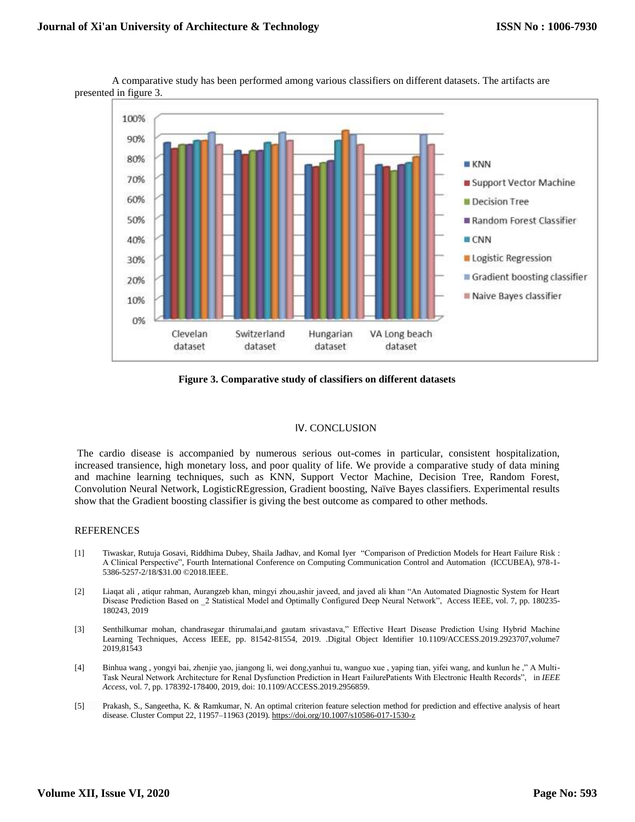

A comparative study has been performed among various classifiers on different datasets. The artifacts are presented in figure 3.

**Figure 3. Comparative study of classifiers on different datasets**

#### IV. CONCLUSION

The cardio disease is accompanied by numerous serious out-comes in particular, consistent hospitalization, increased transience, high monetary loss, and poor quality of life. We provide a comparative study of data mining and machine learning techniques, such as KNN, Support Vector Machine, Decision Tree, Random Forest, Convolution Neural Network, LogisticREgression, Gradient boosting, Naïve Bayes classifiers. Experimental results show that the Gradient boosting classifier is giving the best outcome as compared to other methods.

## **REFERENCES**

- [1] Tiwaskar, Rutuja Gosavi, Riddhima Dubey, Shaila Jadhav, and Komal Iyer "Comparison of Prediction Models for Heart Failure Risk : A Clinical Perspective", Fourth International Conference on Computing Communication Control and Automation (ICCUBEA), 978-1- 5386-5257-2/18/\$31.00 ©2018.IEEE.
- [2] Liaqat ali , atiqur rahman, Aurangzeb khan, mingyi zhou,ashir javeed, and javed ali khan "An Automated Diagnostic System for Heart Disease Prediction Based on \_2 Statistical Model and Optimally Configured Deep Neural Network", Access IEEE, vol. 7, pp. 180235- 180243, 2019
- [3] Senthilkumar mohan, chandrasegar thirumalai,and gautam srivastava," Effective Heart Disease Prediction Using Hybrid Machine Learning Techniques, Access IEEE, pp. 81542-81554, 2019. .Digital Object Identifier 10.1109/ACCESS.2019.2923707,volume7 2019,81543
- [4] Binhua wang , yongyi bai, zhenjie yao, jiangong li, wei dong,yanhui tu, wanguo xue , yaping tian, yifei wang, and kunlun he ," A Multi-Task Neural Network Architecture for Renal Dysfunction Prediction in Heart FailurePatients With Electronic Health Records", in *IEEE Access*, vol. 7, pp. 178392-178400, 2019, doi: 10.1109/ACCESS.2019.2956859.
- [5] Prakash, S., Sangeetha, K. & Ramkumar, N. An optimal criterion feature selection method for prediction and effective analysis of heart disease. Cluster Comput 22, 11957–11963 (2019)[. https://doi.org/10.1007/s10586-017-1530-z](https://doi.org/10.1007/s10586-017-1530-z)